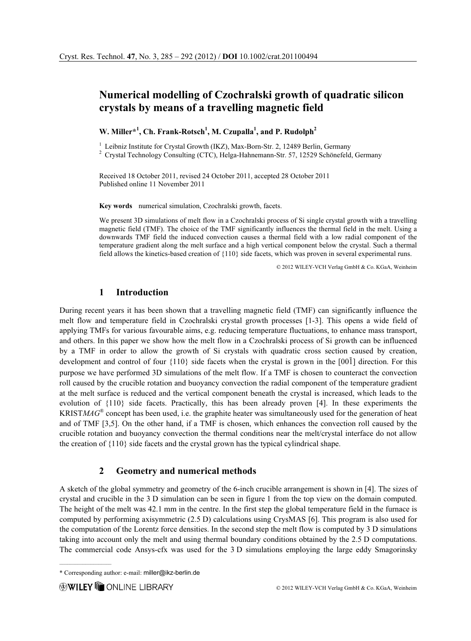# Numerical modelling of Czochralski growth of quadratic silicon crystals by means of a travelling magnetic field

W. Miller\*<sup>1</sup>, Ch. Frank-Rotsch<sup>1</sup>, M. Czupalla<sup>1</sup>, and P. Rudolph<sup>2</sup>

<sup>1</sup> Leibniz Institute for Crystal Growth (IKZ), Max-Born-Str. 2, 12489 Berlin, Germany  $^{2}$  Crystal Technology Consulting (CTC), Helga-Hahnemann-Str. 57, 12529 Schönefeld, Germany

Received 18 October 2011, revised 24 October 2011, accepted 28 October 2011 Published online 11 November 2011

Key words numerical simulation, Czochralski growth, facets.

We present 3D simulations of melt flow in a Czochralski process of Si single crystal growth with a travelling magnetic field (TMF). The choice of the TMF significantly influences the thermal field in the melt. Using a downwards TMF field the induced convection causes a thermal field with a low radial component of the temperature gradient along the melt surface and a high vertical component below the crystal. Such a thermal field allows the kinetics-based creation of {110} side facets, which was proven in several experimental runs.

© 2012 WILEY-VCH Verlag GmbH & Co. KGaA, Weinheim

## 1 Introduction

During recent years it has been shown that a travelling magnetic field (TMF) can significantly influence the melt flow and temperature field in Czochralski crystal growth processes [1-3]. This opens a wide field of applying TMFs for various favourable aims, e.g. reducing temperature fluctuations, to enhance mass transport, and others. In this paper we show how the melt flow in a Czochralski process of Si growth can be influenced by a TMF in order to allow the growth of Si crystals with quadratic cross section caused by creation, development and control of four {110} side facets when the crystal is grown in the [001] direction. For this purpose we have performed 3D simulations of the melt flow. If a TMF is chosen to counteract the convection roll caused by the crucible rotation and buoyancy convection the radial component of the temperature gradient at the melt surface is reduced and the vertical component beneath the crystal is increased, which leads to the evolution of {110} side facets. Practically, this has been already proven [4]. In these experiments the KRISTMAG<sup>®</sup> concept has been used, i.e. the graphite heater was simultaneously used for the generation of heat and of TMF [3,5]. On the other hand, if a TMF is chosen, which enhances the convection roll caused by the crucible rotation and buoyancy convection the thermal conditions near the melt/crystal interface do not allow the creation of  $\{110\}$  side facets and the crystal grown has the typical cylindrical shape.

#### 2 Geometry and numerical methods

A sketch of the global symmetry and geometry of the 6-inch crucible arrangement is shown in [4]. The sizes of crystal and crucible in the 3 D simulation can be seen in figure 1 from the top view on the domain computed. The height of the melt was 42.1 mm in the centre. In the first step the global temperature field in the furnace is computed by performing axisymmetric (2.5 D) calculations using CrysMAS [6]. This program is also used for the computation of the Lorentz force densities. In the second step the melt flow is computed by 3 D simulations taking into account only the melt and using thermal boundary conditions obtained by the 2.5 D computations. The commercial code Ansys-cfx was used for the 3 D simulations employing the large eddy Smagorinsky

 $\mathcal{L}_\text{max}$ 

<sup>\*</sup> Corresponding author: e-mail: miller@ikz-berlin.de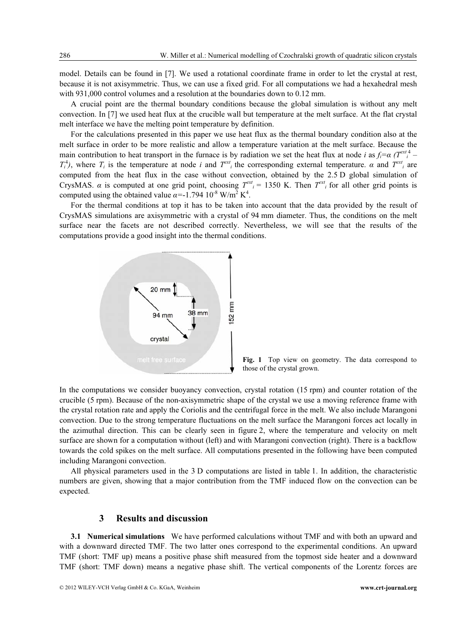model. Details can be found in [7]. We used a rotational coordinate frame in order to let the crystal at rest, because it is not axisymmetric. Thus, we can use a fixed grid. For all computations we had a hexahedral mesh with 931,000 control volumes and a resolution at the boundaries down to 0.12 mm.

A crucial point are the thermal boundary conditions because the global simulation is without any melt convection. In [7] we used heat flux at the crucible wall but temperature at the melt surface. At the flat crystal melt interface we have the melting point temperature by definition.

For the calculations presented in this paper we use heat flux as the thermal boundary condition also at the melt surface in order to be more realistic and allow a temperature variation at the melt surface. Because the main contribution to heat transport in the furnace is by radiation we set the heat flux at node i as  $f_i = \alpha (T^{ext})^4$  $T_i^4$ ), where  $T_i$  is the temperature at node i and  $T_{i}^{ext}$  the corresponding external temperature.  $\alpha$  and  $T_{i}^{ext}$  are computed from the heat flux in the case without convection, obtained by the 2.5 D global simulation of CrysMAS.  $\alpha$  is computed at one grid point, choosing  $T^{ext}$  = 1350 K. Then  $T^{ext}$  for all other grid points is computed using the obtained value  $\alpha$ =-1.794 10<sup>-8</sup> W/m<sup>2</sup> K<sup>4</sup>.

For the thermal conditions at top it has to be taken into account that the data provided by the result of CrysMAS simulations are axisymmetric with a crystal of 94 mm diameter. Thus, the conditions on the melt surface near the facets are not described correctly. Nevertheless, we will see that the results of the computations provide a good insight into the thermal conditions.



Fig. 1 Top view on geometry. The data correspond to those of the crystal grown.

In the computations we consider buoyancy convection, crystal rotation (15 rpm) and counter rotation of the crucible (5 rpm). Because of the non-axisymmetric shape of the crystal we use a moving reference frame with the crystal rotation rate and apply the Coriolis and the centrifugal force in the melt. We also include Marangoni convection. Due to the strong temperature fluctuations on the melt surface the Marangoni forces act locally in the azimuthal direction. This can be clearly seen in figure 2, where the temperature and velocity on melt surface are shown for a computation without (left) and with Marangoni convection (right). There is a backflow towards the cold spikes on the melt surface. All computations presented in the following have been computed including Marangoni convection.

All physical parameters used in the 3 D computations are listed in table 1. In addition, the characteristic numbers are given, showing that a major contribution from the TMF induced flow on the convection can be expected.

### 3 Results and discussion

3.1 Numerical simulations We have performed calculations without TMF and with both an upward and with a downward directed TMF. The two latter ones correspond to the experimental conditions. An upward TMF (short: TMF up) means a positive phase shift measured from the topmost side heater and a downward TMF (short: TMF down) means a negative phase shift. The vertical components of the Lorentz forces are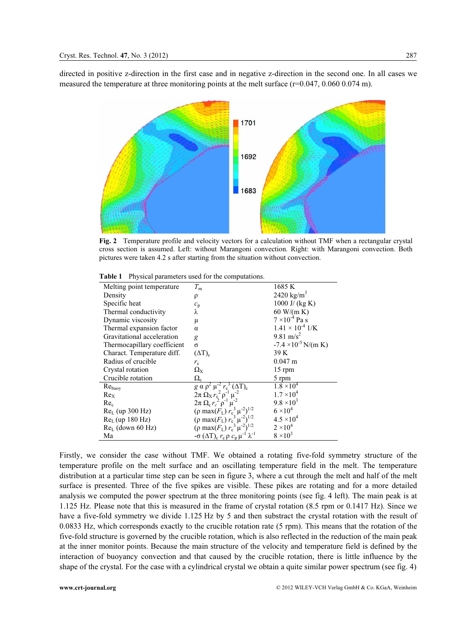directed in positive z-direction in the first case and in negative z-direction in the second one. In all cases we measured the temperature at three monitoring points at the melt surface (r=0.047, 0.060 0.074 m).



Fig. 2 Temperature profile and velocity vectors for a calculation without TMF when a rectangular crystal cross section is assumed. Left: without Marangoni convection. Right: with Marangoni convection. Both pictures were taken 4.2 s after starting from the situation without convection.

| Melting point temperature.  | $T_{\rm m}$                                                                                                                                                                                                                                       | 1685 K                        |
|-----------------------------|---------------------------------------------------------------------------------------------------------------------------------------------------------------------------------------------------------------------------------------------------|-------------------------------|
| Density                     | ρ                                                                                                                                                                                                                                                 | 2420 kg/m <sup>3</sup>        |
| Specific heat               | $c_{\rm p}$                                                                                                                                                                                                                                       | 1000 J/ $(kg K)$              |
| Thermal conductivity        | λ                                                                                                                                                                                                                                                 | 60 W/(m K)                    |
| Dynamic viscosity           | μ                                                                                                                                                                                                                                                 | $7 \times 10^{-4}$ Pa s       |
| Thermal expansion factor    | $\alpha$                                                                                                                                                                                                                                          | $1.41 \times 10^{-4}$ 1/K     |
| Gravitational acceleration  | g                                                                                                                                                                                                                                                 | 9.81 m/s <sup>2</sup>         |
| Thermocapillary coefficient | $\sigma$                                                                                                                                                                                                                                          | $-7.4 \times 10^{-5}$ N/(m K) |
| Charact. Temperature diff.  | $(\Delta T)_c$                                                                                                                                                                                                                                    | 39 K                          |
| Radius of crucible          | $r_{\rm c}$                                                                                                                                                                                                                                       | $0.047 \text{ m}$             |
| Crystal rotation            | $\Omega_{\rm X}$                                                                                                                                                                                                                                  | $15$ rpm                      |
| Crucible rotation           | $\Omega_{\rm c}$                                                                                                                                                                                                                                  | 5 rpm                         |
| Re <sub>buoy</sub>          | g α ρ <sup>2</sup> μ <sup>2</sup> r <sub>c</sub> <sup>3</sup> (ΔT) <sub>c</sub><br>2π Ω <sub>X</sub> r <sub>c</sub> <sup>2</sup> ρ <sup>-1</sup> μ <sup>-2</sup><br>2π Ω <sub>c</sub> r <sub>c</sub> <sup>2</sup> ρ <sup>-1</sup> μ <sup>-2</sup> | $1.8 \times 10^{4}$           |
| Re <sub>x</sub>             |                                                                                                                                                                                                                                                   | $1.7 \times 10^{4}$           |
| Re <sub>c</sub>             |                                                                                                                                                                                                                                                   | $9.8 \times 10^3$             |
| $ReL$ (up 300 Hz)           | $(\rho \max(F_L) r_c^3 \mu^2)^{1/2}$                                                                                                                                                                                                              | $6 \times 10^4$               |
| $ReL$ (up 180 Hz)           | $(\rho \max(F_L) r_c^3 \mu^{-2})^{1/2}$                                                                                                                                                                                                           | $4.5 \times 10^{4}$           |
| $ReL$ (down 60 Hz)          | $(\rho \max(F_L) r_c^3 \mu^{-2})^{1/2}$                                                                                                                                                                                                           | $2 \times 10^4$               |
| Ma                          | $-\sigma$ (ΔT) <sub>c</sub> $r_c$ $\rho$ $c_p$ μ <sup>-1</sup>                                                                                                                                                                                    | $8 \times 10^3$               |
|                             |                                                                                                                                                                                                                                                   |                               |

Table 1 Physical parameters used for the computations.

Firstly, we consider the case without TMF. We obtained a rotating five-fold symmetry structure of the temperature profile on the melt surface and an oscillating temperature field in the melt. The temperature distribution at a particular time step can be seen in figure 3, where a cut through the melt and half of the melt surface is presented. Three of the five spikes are visible. These pikes are rotating and for a more detailed analysis we computed the power spectrum at the three monitoring points (see fig. 4 left). The main peak is at 1.125 Hz. Please note that this is measured in the frame of crystal rotation (8.5 rpm or 0.1417 Hz). Since we have a five-fold symmetry we divide 1.125 Hz by 5 and then substract the crystal rotation with the result of 0.0833 Hz, which corresponds exactly to the crucible rotation rate (5 rpm). This means that the rotation of the five-fold structure is governed by the crucible rotation, which is also reflected in the reduction of the main peak at the inner monitor points. Because the main structure of the velocity and temperature field is defined by the interaction of buoyancy convection and that caused by the crucible rotation, there is little influence by the shape of the crystal. For the case with a cylindrical crystal we obtain a quite similar power spectrum (see fig. 4)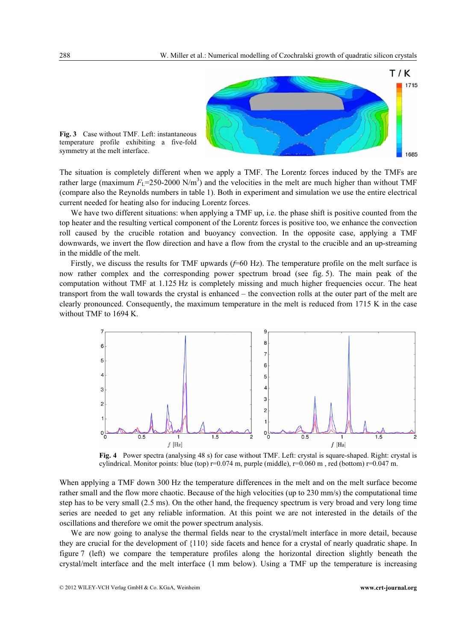

Fig. 3 Case without TMF. Left: instantaneous temperature profile exhibiting a five-fold symmetry at the melt interface.

The situation is completely different when we apply a TMF. The Lorentz forces induced by the TMFs are rather large (maximum  $F_L$ =250-2000 N/m<sup>3</sup>) and the velocities in the melt are much higher than without TMF (compare also the Reynolds numbers in table 1). Both in experiment and simulation we use the entire electrical current needed for heating also for inducing Lorentz forces.

We have two different situations: when applying a TMF up, i.e. the phase shift is positive counted from the top heater and the resulting vertical component of the Lorentz forces is positive too, we enhance the convection roll caused by the crucible rotation and buoyancy convection. In the opposite case, applying a TMF downwards, we invert the flow direction and have a flow from the crystal to the crucible and an up-streaming in the middle of the melt.

Firstly, we discuss the results for TMF upwards  $(f=60 \text{ Hz})$ . The temperature profile on the melt surface is now rather complex and the corresponding power spectrum broad (see fig. 5). The main peak of the computation without TMF at 1.125 Hz is completely missing and much higher frequencies occur. The heat transport from the wall towards the crystal is enhanced – the convection rolls at the outer part of the melt are clearly pronounced. Consequently, the maximum temperature in the melt is reduced from 1715 K in the case without TMF to 1694 K.



Fig. 4 Power spectra (analysing 48 s) for case without TMF. Left: crystal is square-shaped. Right: crystal is cylindrical. Monitor points: blue (top) r=0.074 m, purple (middle), r=0.060 m , red (bottom) r=0.047 m.

When applying a TMF down 300 Hz the temperature differences in the melt and on the melt surface become rather small and the flow more chaotic. Because of the high velocities (up to 230 mm/s) the computational time step has to be very small (2.5 ms). On the other hand, the frequency spectrum is very broad and very long time series are needed to get any reliable information. At this point we are not interested in the details of the oscillations and therefore we omit the power spectrum analysis.

We are now going to analyse the thermal fields near to the crystal/melt interface in more detail, because they are crucial for the development of {110} side facets and hence for a crystal of nearly quadratic shape. In figure 7 (left) we compare the temperature profiles along the horizontal direction slightly beneath the crystal/melt interface and the melt interface (1 mm below). Using a TMF up the temperature is increasing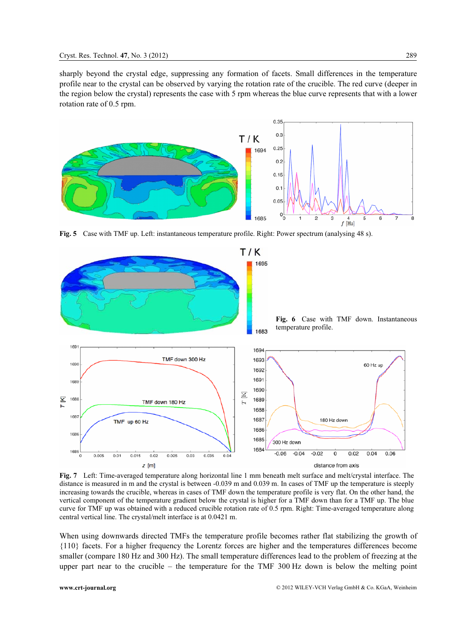sharply beyond the crystal edge, suppressing any formation of facets. Small differences in the temperature profile near to the crystal can be observed by varying the rotation rate of the crucible. The red curve (deeper in the region below the crystal) represents the case with 5 rpm whereas the blue curve represents that with a lower rotation rate of 0.5 rpm.



Fig. 5 Case with TMF up. Left: instantaneous temperature profile. Right: Power spectrum (analysing 48 s).



Fig. 7 Left: Time-averaged temperature along horizontal line 1 mm beneath melt surface and melt/crystal interface. The distance is measured in m and the crystal is between -0.039 m and 0.039 m. In cases of TMF up the temperature is steeply increasing towards the crucible, whereas in cases of TMF down the temperature profile is very flat. On the other hand, the vertical component of the temperature gradient below the crystal is higher for a TMF down than for a TMF up. The blue curve for TMF up was obtained with a reduced crucible rotation rate of 0.5 rpm. Right: Time-averaged temperature along central vertical line. The crystal/melt interface is at 0.0421 m.

When using downwards directed TMFs the temperature profile becomes rather flat stabilizing the growth of {110} facets. For a higher frequency the Lorentz forces are higher and the temperatures differences become smaller (compare 180 Hz and 300 Hz). The small temperature differences lead to the problem of freezing at the upper part near to the crucible – the temperature for the TMF 300 Hz down is below the melting point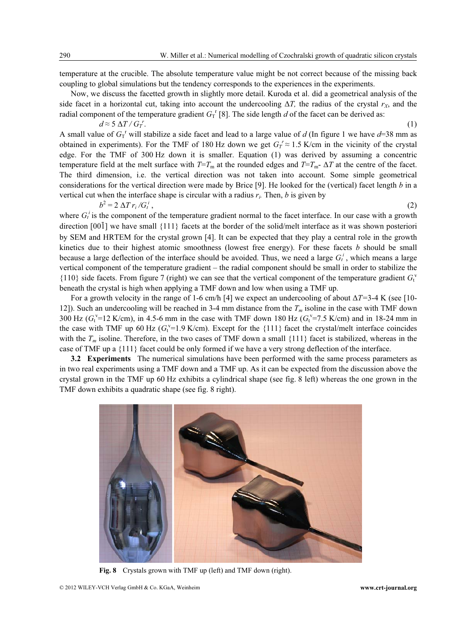temperature at the crucible. The absolute temperature value might be not correct because of the missing back coupling to global simulations but the tendency corresponds to the experiences in the experiments.

Now, we discuss the facetted growth in slightly more detail. Kuroda et al. did a geometrical analysis of the side facet in a horizontal cut, taking into account the undercooling  $\Delta T$ , the radius of the crystal  $r<sub>X</sub>$ , and the radial component of the temperature gradient  $G_{\text{T}}^{\text{r}}$  [8]. The side length d of the facet can be derived as:  $d \approx 5 \Delta T/G_T^{\ r}$ 

.  $(1)$ A small value of  $G_1^r$  will stabilize a side facet and lead to a large value of d (In figure 1 we have  $d=38$  mm as obtained in experiments). For the TMF of 180 Hz down we get  $G_T^r \approx 1.5$  K/cm in the vicinity of the crystal edge. For the TMF of 300 Hz down it is smaller. Equation (1) was derived by assuming a concentric temperature field at the melt surface with  $T=T_m$  at the rounded edges and  $T=T_m$ -  $\Delta T$  at the centre of the facet. The third dimension, i.e. the vertical direction was not taken into account. Some simple geometrical considerations for the vertical direction were made by Brice [9]. He looked for the (vertical) facet length  $b$  in a vertical cut when the interface shape is circular with a radius  $r_i$ . Then, b is given by

$$
b^2 = 2 \Delta T r_i / G_t^i
$$

 $,$  (2)

where  $G_t^i$  is the component of the temperature gradient normal to the facet interface. In our case with a growth direction [001] we have small {111} facets at the border of the solid/melt interface as it was shown posteriori by SEM and HRTEM for the crystal grown [4]. It can be expected that they play a central role in the growth kinetics due to their highest atomic smoothness (lowest free energy). For these facets  $b$  should be small because a large deflection of the interface should be avoided. Thus, we need a large  $G_t^i$ , which means a large vertical component of the temperature gradient – the radial component should be small in order to stabilize the {110} side facets. From figure 7 (right) we can see that the vertical component of the temperature gradient  $G_t^v$ beneath the crystal is high when applying a TMF down and low when using a TMF up.

For a growth velocity in the range of 1-6 cm/h [4] we expect an undercooling of about  $\Delta T = 3-4$  K (see [10-12]). Such an undercooling will be reached in 3-4 mm distance from the  $T_m$  isoline in the case with TMF down 300 Hz ( $G_t^{\text{v}}$ =12 K/cm), in 4.5-6 mm in the case with TMF down 180 Hz ( $G_t^{\text{v}}$ =7.5 K/cm) and in 18-24 mm in the case with TMF up 60 Hz ( $G_t^{\nu}$ =1.9 K/cm). Except for the {111} facet the crystal/melt interface coincides with the  $T_m$  isoline. Therefore, in the two cases of TMF down a small  $\{111\}$  facet is stabilized, whereas in the case of TMF up a {111} facet could be only formed if we have a very strong deflection of the interface.

3.2 Experiments The numerical simulations have been performed with the same process parameters as in two real experiments using a TMF down and a TMF up. As it can be expected from the discussion above the crystal grown in the TMF up 60 Hz exhibits a cylindrical shape (see fig. 8 left) whereas the one grown in the TMF down exhibits a quadratic shape (see fig. 8 right).



Fig. 8 Crystals grown with TMF up (left) and TMF down (right).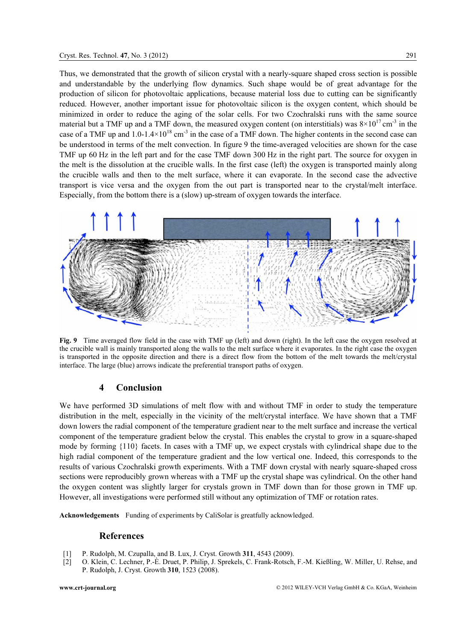Thus, we demonstrated that the growth of silicon crystal with a nearly-square shaped cross section is possible and understandable by the underlying flow dynamics. Such shape would be of great advantage for the production of silicon for photovoltaic applications, because material loss due to cutting can be significantly reduced. However, another important issue for photovoltaic silicon is the oxygen content, which should be minimized in order to reduce the aging of the solar cells. For two Czochralski runs with the same source material but a TMF up and a TMF down, the measured oxygen content (on interstitials) was  $8\times10^{17}$  cm<sup>-3</sup> in the case of a TMF up and  $1.0-1.4\times10^{18}$  cm<sup>-3</sup> in the case of a TMF down. The higher contents in the second case can

be understood in terms of the melt convection. In figure 9 the time-averaged velocities are shown for the case TMF up 60 Hz in the left part and for the case TMF down 300 Hz in the right part. The source for oxygen in the melt is the dissolution at the crucible walls. In the first case (left) the oxygen is transported mainly along the crucible walls and then to the melt surface, where it can evaporate. In the second case the advective transport is vice versa and the oxygen from the out part is transported near to the crystal/melt interface. Especially, from the bottom there is a (slow) up-stream of oxygen towards the interface.



Fig. 9 Time averaged flow field in the case with TMF up (left) and down (right). In the left case the oxygen resolved at the crucible wall is mainly transported along the walls to the melt surface where it evaporates. In the right case the oxygen is transported in the opposite direction and there is a direct flow from the bottom of the melt towards the melt/crystal interface. The large (blue) arrows indicate the preferential transport paths of oxygen.

### 4 Conclusion

We have performed 3D simulations of melt flow with and without TMF in order to study the temperature distribution in the melt, especially in the vicinity of the melt/crystal interface. We have shown that a TMF down lowers the radial component of the temperature gradient near to the melt surface and increase the vertical component of the temperature gradient below the crystal. This enables the crystal to grow in a square-shaped mode by forming {110} facets. In cases with a TMF up, we expect crystals with cylindrical shape due to the high radial component of the temperature gradient and the low vertical one. Indeed, this corresponds to the results of various Czochralski growth experiments. With a TMF down crystal with nearly square-shaped cross sections were reproducibly grown whereas with a TMF up the crystal shape was cylindrical. On the other hand the oxygen content was slightly larger for crystals grown in TMF down than for those grown in TMF up. However, all investigations were performed still without any optimization of TMF or rotation rates.

Acknowledgements Funding of experiments by CaliSolar is greatfully acknowledged.

#### References

- [1] P. Rudolph, M. Czupalla, and B. Lux, J. Cryst. Growth 311, 4543 (2009).
- [2] O. Klein, C. Lechner, P.-È. Druet, P. Philip, J. Sprekels, C. Frank-Rotsch, F.-M. Kießling, W. Miller, U. Rehse, and P. Rudolph, J. Cryst. Growth 310, 1523 (2008).